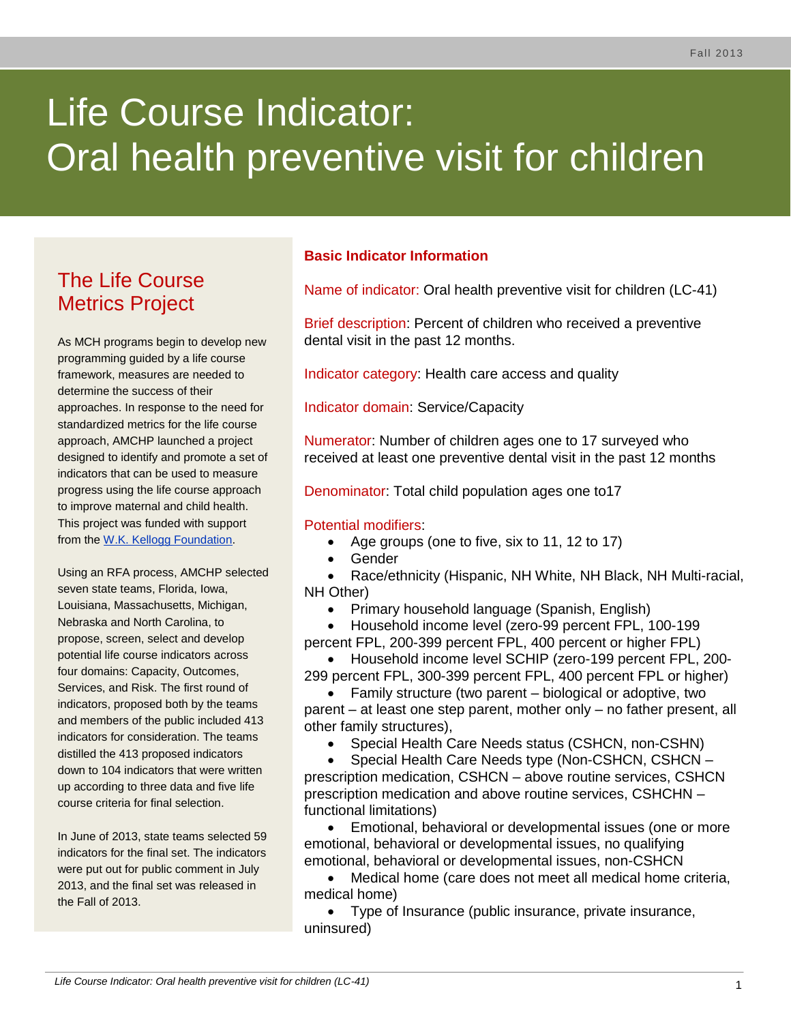# Life Course Indicator: Oral health preventive visit for children

# The Life Course Metrics Project

As MCH programs begin to develop new programming guided by a life course framework, measures are needed to determine the success of their approaches. In response to the need for standardized metrics for the life course approach, AMCHP launched a project designed to identify and promote a set of indicators that can be used to measure progress using the life course approach to improve maternal and child health. This project was funded with support from the [W.K. Kellogg Foundation.](http://www.wkkf.org/)

Using an RFA process, AMCHP selected seven state teams, Florida, Iowa, Louisiana, Massachusetts, Michigan, Nebraska and North Carolina, to propose, screen, select and develop potential life course indicators across four domains: Capacity, Outcomes, Services, and Risk. The first round of indicators, proposed both by the teams and members of the public included 413 indicators for consideration. The teams distilled the 413 proposed indicators down to 104 indicators that were written up according to three data and five life course criteria for final selection.

In June of 2013, state teams selected 59 indicators for the final set. The indicators were put out for public comment in July 2013, and the final set was released in the Fall of 2013.

# **Basic Indicator Information**

Name of indicator: Oral health preventive visit for children (LC-41)

Brief description: Percent of children who received a preventive dental visit in the past 12 months.

Indicator category: Health care access and quality

Indicator domain: Service/Capacity

Numerator: Number of children ages one to 17 surveyed who received at least one preventive dental visit in the past 12 months

Denominator: Total child population ages one to17

#### Potential modifiers:

- Age groups (one to five, six to 11, 12 to 17)
- Gender

 Race/ethnicity (Hispanic, NH White, NH Black, NH Multi-racial, NH Other)

• Primary household language (Spanish, English)

 Household income level (zero-99 percent FPL, 100-199 percent FPL, 200-399 percent FPL, 400 percent or higher FPL)

 Household income level SCHIP (zero-199 percent FPL, 200- 299 percent FPL, 300-399 percent FPL, 400 percent FPL or higher)

 Family structure (two parent – biological or adoptive, two parent – at least one step parent, mother only – no father present, all other family structures),

Special Health Care Needs status (CSHCN, non-CSHN)

 Special Health Care Needs type (Non-CSHCN, CSHCN – prescription medication, CSHCN – above routine services, CSHCN prescription medication and above routine services, CSHCHN – functional limitations)

 Emotional, behavioral or developmental issues (one or more emotional, behavioral or developmental issues, no qualifying emotional, behavioral or developmental issues, non-CSHCN

 Medical home (care does not meet all medical home criteria, medical home)

 Type of Insurance (public insurance, private insurance, uninsured)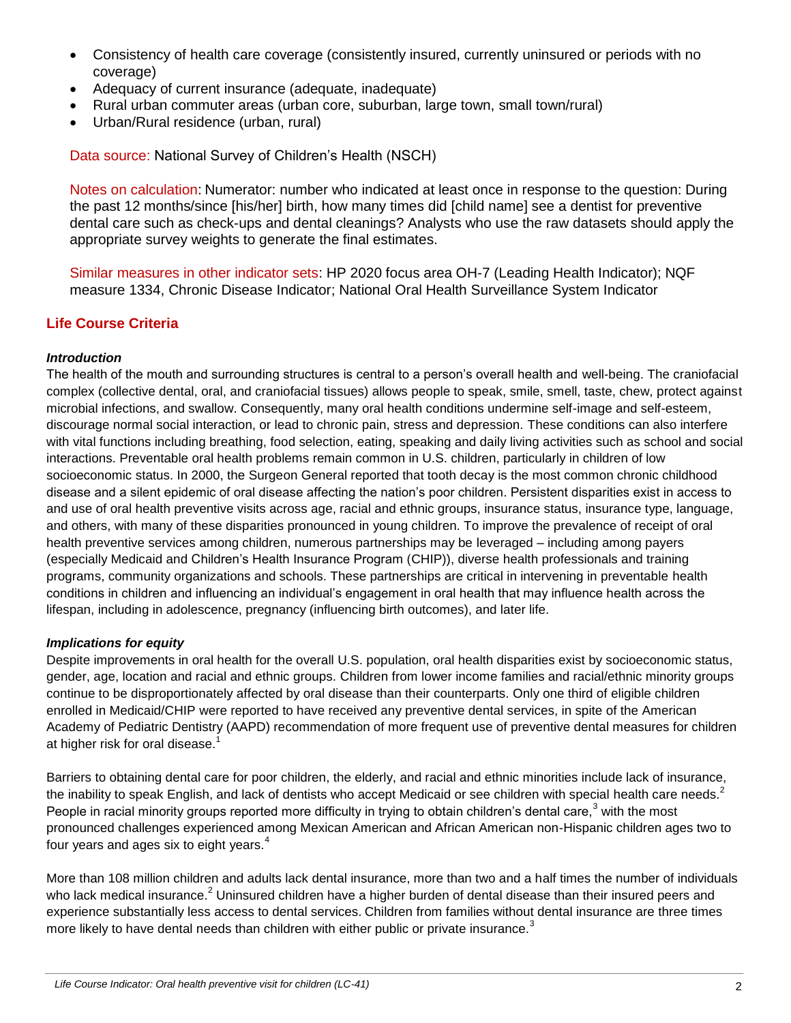- Consistency of health care coverage (consistently insured, currently uninsured or periods with no coverage)
- Adequacy of current insurance (adequate, inadequate)
- Rural urban commuter areas (urban core, suburban, large town, small town/rural)
- Urban/Rural residence (urban, rural)

Data source: National Survey of Children's Health (NSCH)

Notes on calculation: Numerator: number who indicated at least once in response to the question: During the past 12 months/since [his/her] birth, how many times did [child name] see a dentist for preventive dental care such as check-ups and dental cleanings? Analysts who use the raw datasets should apply the appropriate survey weights to generate the final estimates.

Similar measures in other indicator sets: HP 2020 focus area OH-7 (Leading Health Indicator); NQF measure 1334, Chronic Disease Indicator; National Oral Health Surveillance System Indicator

### **Life Course Criteria**

#### *Introduction*

The health of the mouth and surrounding structures is central to a person's overall health and well-being. The craniofacial complex (collective dental, oral, and craniofacial tissues) allows people to speak, smile, smell, taste, chew, protect against microbial infections, and swallow. Consequently, many oral health conditions undermine self-image and self-esteem, discourage normal social interaction, or lead to chronic pain, stress and depression. These conditions can also interfere with vital functions including breathing, food selection, eating, speaking and daily living activities such as school and social interactions. Preventable oral health problems remain common in U.S. children, particularly in children of low socioeconomic status. In 2000, the Surgeon General reported that tooth decay is the most common chronic childhood disease and a silent epidemic of oral disease affecting the nation's poor children. Persistent disparities exist in access to and use of oral health preventive visits across age, racial and ethnic groups, insurance status, insurance type, language, and others, with many of these disparities pronounced in young children. To improve the prevalence of receipt of oral health preventive services among children, numerous partnerships may be leveraged – including among payers (especially Medicaid and Children's Health Insurance Program (CHIP)), diverse health professionals and training programs, community organizations and schools. These partnerships are critical in intervening in preventable health conditions in children and influencing an individual's engagement in oral health that may influence health across the lifespan, including in adolescence, pregnancy (influencing birth outcomes), and later life.

#### *Implications for equity*

Despite improvements in oral health for the overall U.S. population, oral health disparities exist by socioeconomic status, gender, age, location and racial and ethnic groups. Children from lower income families and racial/ethnic minority groups continue to be disproportionately affected by oral disease than their counterparts. Only one third of eligible children enrolled in Medicaid/CHIP were reported to have received any preventive dental services, in spite of the American Academy of Pediatric Dentistry (AAPD) recommendation of more frequent use of preventive dental measures for children at higher risk for oral disease.<sup>1</sup>

Barriers to obtaining dental care for poor children, the elderly, and racial and ethnic minorities include lack of insurance, the inability to speak English, and lack of dentists who accept Medicaid or see children with special health care needs.<sup>2</sup> People in racial minority groups reported more difficulty in trying to obtain children's dental care, $3$  with the most pronounced challenges experienced among Mexican American and African American non-Hispanic children ages two to four years and ages six to eight years. $4$ 

More than 108 million children and adults lack dental insurance, more than two and a half times the number of individuals who lack medical insurance.<sup>2</sup> Uninsured children have a higher burden of dental disease than their insured peers and experience substantially less access to dental services. Children from families without dental insurance are three times more likely to have dental needs than children with either public or private insurance. $3$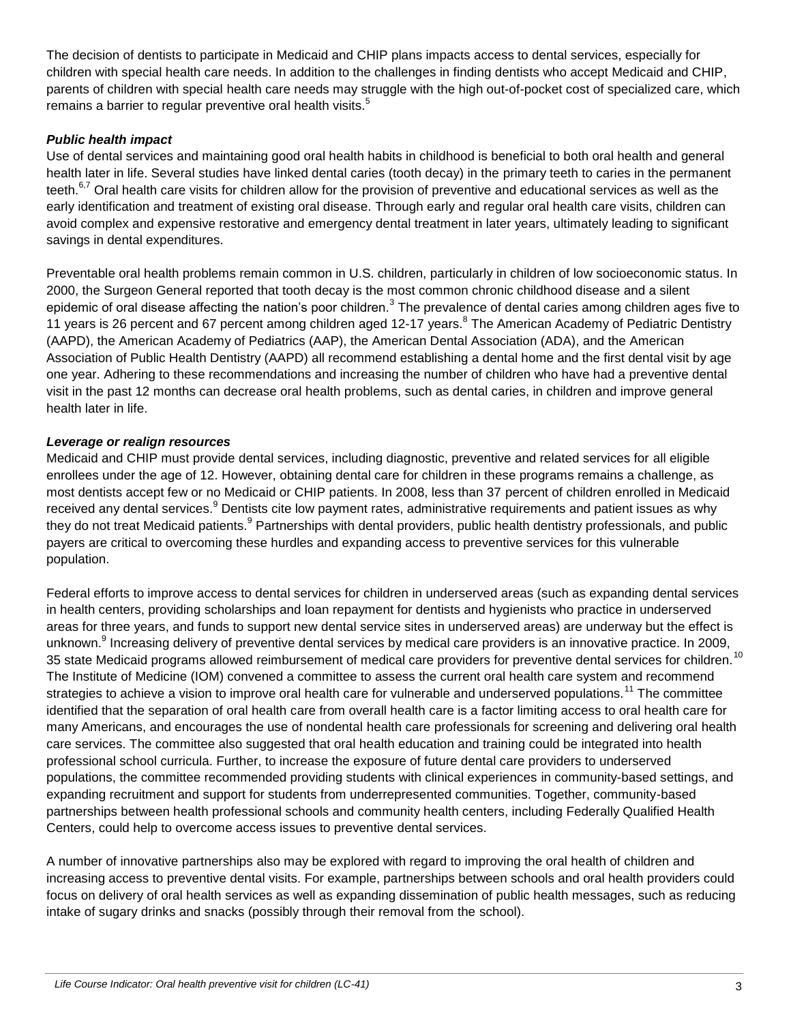The decision of dentists to participate in Medicaid and CHIP plans impacts access to dental services, especially for children with special health care needs. In addition to the challenges in finding dentists who accept Medicaid and CHIP, parents of children with special health care needs may struggle with the high out-of-pocket cost of specialized care, which remains a barrier to regular preventive oral health visits.<sup>5</sup>

#### *Public health impact*

Use of dental services and maintaining good oral health habits in childhood is beneficial to both oral health and general health later in life. Several studies have linked dental caries (tooth decay) in the primary teeth to caries in the permanent teeth.<sup>6,7</sup> Oral health care visits for children allow for the provision of preventive and educational services as well as the early identification and treatment of existing oral disease. Through early and regular oral health care visits, children can avoid complex and expensive restorative and emergency dental treatment in later years, ultimately leading to significant savings in dental expenditures.

Preventable oral health problems remain common in U.S. children, particularly in children of low socioeconomic status. In 2000, the Surgeon General reported that tooth decay is the most common chronic childhood disease and a silent epidemic of oral disease affecting the nation's poor children.<sup>3</sup> The prevalence of dental caries among children ages five to 11 years is 26 percent and 67 percent among children aged 12-17 years. <sup>8</sup> The American Academy of Pediatric Dentistry (AAPD), the American Academy of Pediatrics (AAP), the American Dental Association (ADA), and the American Association of Public Health Dentistry (AAPD) all recommend establishing a dental home and the first dental visit by age one year. Adhering to these recommendations and increasing the number of children who have had a preventive dental visit in the past 12 months can decrease oral health problems, such as dental caries, in children and improve general health later in life.

#### *Leverage or realign resources*

Medicaid and CHIP must provide dental services, including diagnostic, preventive and related services for all eligible enrollees under the age of 12. However, obtaining dental care for children in these programs remains a challenge, as most dentists accept few or no Medicaid or CHIP patients. In 2008, less than 37 percent of children enrolled in Medicaid received any dental services.<sup>9</sup> Dentists cite low payment rates, administrative requirements and patient issues as why they do not treat Medicaid patients.<sup>9</sup> Partnerships with dental providers, public health dentistry professionals, and public payers are critical to overcoming these hurdles and expanding access to preventive services for this vulnerable population.

Federal efforts to improve access to dental services for children in underserved areas (such as expanding dental services in health centers, providing scholarships and loan repayment for dentists and hygienists who practice in underserved areas for three years, and funds to support new dental service sites in underserved areas) are underway but the effect is unknown.<sup>9</sup> Increasing delivery of preventive dental services by medical care providers is an innovative practice. In 2009, 35 state Medicaid programs allowed reimbursement of medical care providers for preventive dental services for children.<sup>10</sup> The Institute of Medicine (IOM) convened a committee to assess the current oral health care system and recommend strategies to achieve a vision to improve oral health care for vulnerable and underserved populations.<sup>11</sup> The committee identified that the separation of oral health care from overall health care is a factor limiting access to oral health care for many Americans, and encourages the use of nondental health care professionals for screening and delivering oral health care services. The committee also suggested that oral health education and training could be integrated into health professional school curricula. Further, to increase the exposure of future dental care providers to underserved populations, the committee recommended providing students with clinical experiences in community-based settings, and expanding recruitment and support for students from underrepresented communities. Together, community-based partnerships between health professional schools and community health centers, including Federally Qualified Health Centers, could help to overcome access issues to preventive dental services.

A number of innovative partnerships also may be explored with regard to improving the oral health of children and increasing access to preventive dental visits. For example, partnerships between schools and oral health providers could focus on delivery of oral health services as well as expanding dissemination of public health messages, such as reducing intake of sugary drinks and snacks (possibly through their removal from the school).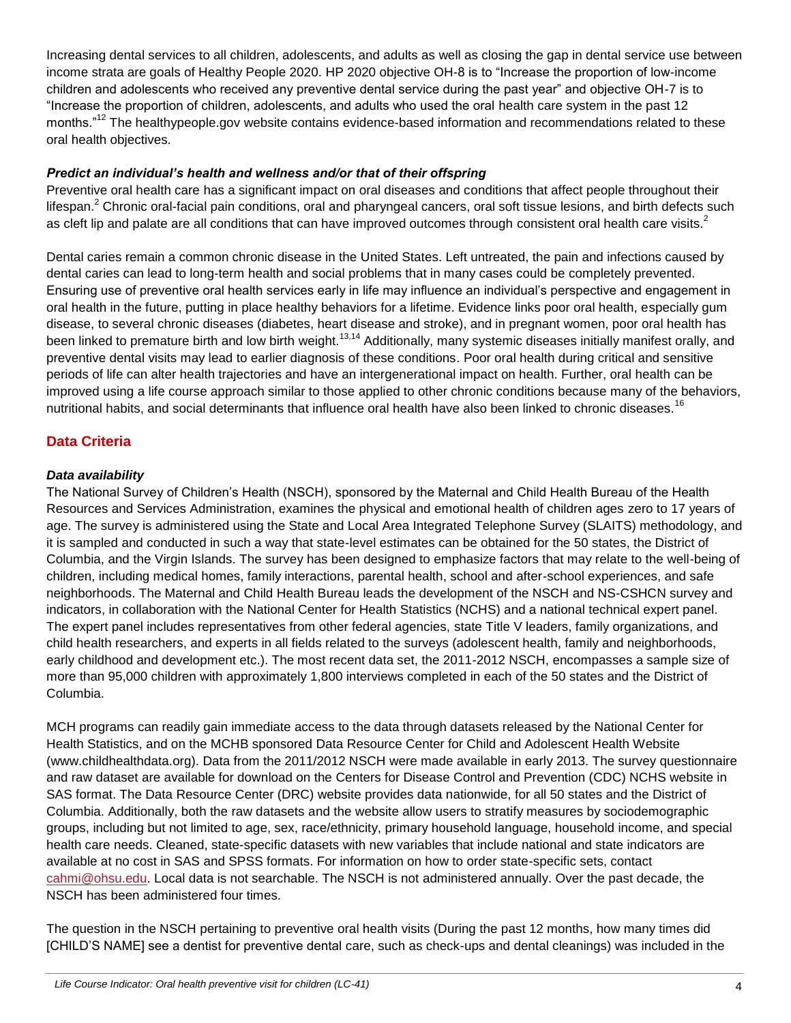Increasing dental services to all children, adolescents, and adults as well as closing the gap in dental service use between income strata are goals of Healthy People 2020. HP 2020 objective OH-8 is to "Increase the proportion of low-income children and adolescents who received any preventive dental service during the past year" and objective OH-7 is to "Increase the proportion of children, adolescents, and adults who used the oral health care system in the past 12 months."<sup>12</sup> The healthypeople.gov website contains evidence-based information and recommendations related to these oral health objectives.

#### *Predict an individual's health and wellness and/or that of their offspring*

Preventive oral health care has a significant impact on oral diseases and conditions that affect people throughout their lifespan.<sup>2</sup> Chronic oral-facial pain conditions, oral and pharyngeal cancers, oral soft tissue lesions, and birth defects such as cleft lip and palate are all conditions that can have improved outcomes through consistent oral health care visits.<sup>2</sup>

Dental caries remain a common chronic disease in the United States. Left untreated, the pain and infections caused by dental caries can lead to long-term health and social problems that in many cases could be completely prevented. Ensuring use of preventive oral health services early in life may influence an individual's perspective and engagement in oral health in the future, putting in place healthy behaviors for a lifetime. Evidence links poor oral health, especially gum disease, to several chronic diseases (diabetes, heart disease and stroke), and in pregnant women, poor oral health has been linked to premature birth and low birth weight.<sup>13,14</sup> Additionally, many systemic diseases initially manifest orally, and preventive dental visits may lead to earlier diagnosis of these conditions. Poor oral health during critical and sensitive periods of life can alter health trajectories and have an intergenerational impact on health. Further, oral health can be improved using a life course approach similar to those applied to other chronic conditions because many of the behaviors, nutritional habits, and social determinants that influence oral health have also been linked to chronic diseases.<sup>16</sup>

# **Data Criteria**

#### *Data availability*

The National Survey of Children's Health (NSCH), sponsored by the Maternal and Child Health Bureau of the Health Resources and Services Administration, examines the physical and emotional health of children ages zero to 17 years of age. The survey is administered using the State and Local Area Integrated Telephone Survey (SLAITS) methodology, and it is sampled and conducted in such a way that state-level estimates can be obtained for the 50 states, the District of Columbia, and the Virgin Islands. The survey has been designed to emphasize factors that may relate to the well-being of children, including medical homes, family interactions, parental health, school and after-school experiences, and safe neighborhoods. The Maternal and Child Health Bureau leads the development of the NSCH and NS-CSHCN survey and indicators, in collaboration with the National Center for Health Statistics (NCHS) and a national technical expert panel. The expert panel includes representatives from other federal agencies, state Title V leaders, family organizations, and child health researchers, and experts in all fields related to the surveys (adolescent health, family and neighborhoods, early childhood and development etc.). The most recent data set, the 2011-2012 NSCH, encompasses a sample size of more than 95,000 children with approximately 1,800 interviews completed in each of the 50 states and the District of Columbia.

MCH programs can readily gain immediate access to the data through datasets released by the National Center for Health Statistics, and on the MCHB sponsored Data Resource Center for Child and Adolescent Health Website (www.childhealthdata.org). Data from the 2011/2012 NSCH were made available in early 2013. The survey questionnaire and raw dataset are available for download on the Centers for Disease Control and Prevention (CDC) NCHS website in SAS format. The Data Resource Center (DRC) website provides data nationwide, for all 50 states and the District of Columbia. Additionally, both the raw datasets and the website allow users to stratify measures by sociodemographic groups, including but not limited to age, sex, race/ethnicity, primary household language, household income, and special health care needs. Cleaned, state-specific datasets with new variables that include national and state indicators are available at no cost in SAS and SPSS formats. For information on how to order state-specific sets, contact [cahmi@ohsu.edu.](mailto:cahmi@ohsu.edu) Local data is not searchable. The NSCH is not administered annually. Over the past decade, the NSCH has been administered four times.

The question in the NSCH pertaining to preventive oral health visits (During the past 12 months, how many times did [CHILD'S NAME] see a dentist for preventive dental care, such as check-ups and dental cleanings) was included in the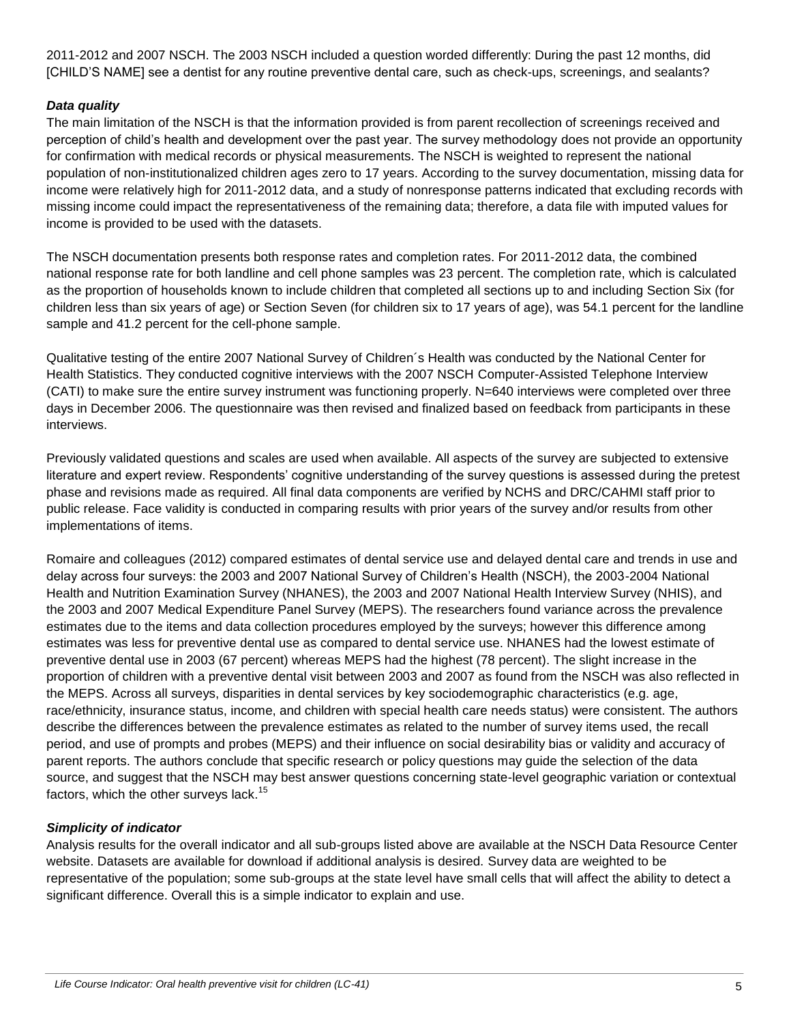2011-2012 and 2007 NSCH. The 2003 NSCH included a question worded differently: During the past 12 months, did [CHILD'S NAME] see a dentist for any routine preventive dental care, such as check-ups, screenings, and sealants?

#### *Data quality*

The main limitation of the NSCH is that the information provided is from parent recollection of screenings received and perception of child's health and development over the past year. The survey methodology does not provide an opportunity for confirmation with medical records or physical measurements. The NSCH is weighted to represent the national population of non-institutionalized children ages zero to 17 years. According to the survey documentation, missing data for income were relatively high for 2011-2012 data, and a study of nonresponse patterns indicated that excluding records with missing income could impact the representativeness of the remaining data; therefore, a data file with imputed values for income is provided to be used with the datasets.

The NSCH documentation presents both response rates and completion rates. For 2011-2012 data, the combined national response rate for both landline and cell phone samples was 23 percent. The completion rate, which is calculated as the proportion of households known to include children that completed all sections up to and including Section Six (for children less than six years of age) or Section Seven (for children six to 17 years of age), was 54.1 percent for the landline sample and 41.2 percent for the cell-phone sample.

Qualitative testing of the entire 2007 National Survey of Children´s Health was conducted by the National Center for Health Statistics. They conducted cognitive interviews with the 2007 NSCH Computer-Assisted Telephone Interview (CATI) to make sure the entire survey instrument was functioning properly. N=640 interviews were completed over three days in December 2006. The questionnaire was then revised and finalized based on feedback from participants in these interviews.

Previously validated questions and scales are used when available. All aspects of the survey are subjected to extensive literature and expert review. Respondents' cognitive understanding of the survey questions is assessed during the pretest phase and revisions made as required. All final data components are verified by NCHS and DRC/CAHMI staff prior to public release. Face validity is conducted in comparing results with prior years of the survey and/or results from other implementations of items.

Romaire and colleagues (2012) compared estimates of dental service use and delayed dental care and trends in use and delay across four surveys: the 2003 and 2007 National Survey of Children's Health (NSCH), the 2003-2004 National Health and Nutrition Examination Survey (NHANES), the 2003 and 2007 National Health Interview Survey (NHIS), and the 2003 and 2007 Medical Expenditure Panel Survey (MEPS). The researchers found variance across the prevalence estimates due to the items and data collection procedures employed by the surveys; however this difference among estimates was less for preventive dental use as compared to dental service use. NHANES had the lowest estimate of preventive dental use in 2003 (67 percent) whereas MEPS had the highest (78 percent). The slight increase in the proportion of children with a preventive dental visit between 2003 and 2007 as found from the NSCH was also reflected in the MEPS. Across all surveys, disparities in dental services by key sociodemographic characteristics (e.g. age, race/ethnicity, insurance status, income, and children with special health care needs status) were consistent. The authors describe the differences between the prevalence estimates as related to the number of survey items used, the recall period, and use of prompts and probes (MEPS) and their influence on social desirability bias or validity and accuracy of parent reports. The authors conclude that specific research or policy questions may guide the selection of the data source, and suggest that the NSCH may best answer questions concerning state-level geographic variation or contextual factors, which the other surveys lack.<sup>15</sup>

#### *Simplicity of indicator*

Analysis results for the overall indicator and all sub-groups listed above are available at the NSCH Data Resource Center website. Datasets are available for download if additional analysis is desired. Survey data are weighted to be representative of the population; some sub-groups at the state level have small cells that will affect the ability to detect a significant difference. Overall this is a simple indicator to explain and use.